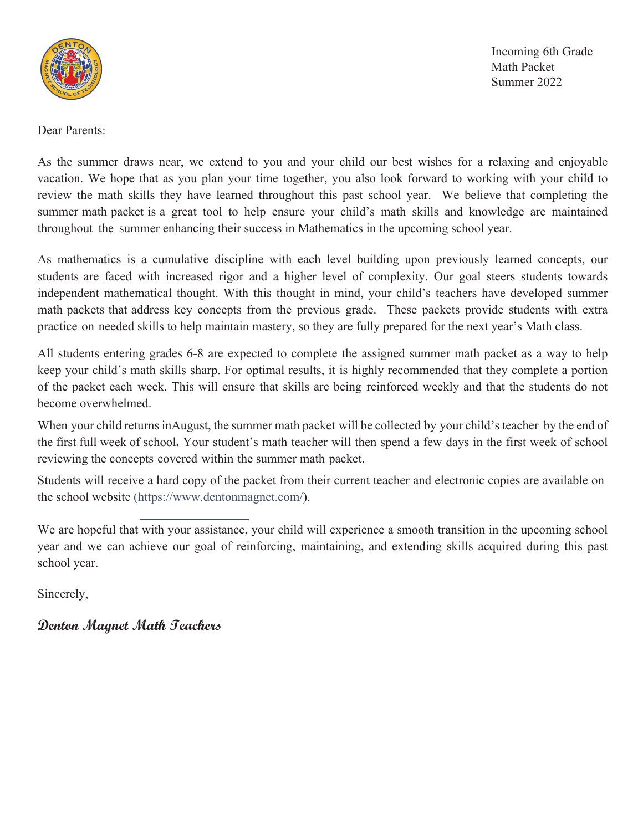

Incoming 6th Grade Math Packet Summer 2022

Dear Parents:

As the summer draws near, we extend to you and your child our best wishes for a relaxing and enjoyable vacation. We hope that as you plan your time together, you also look forward to working with your child to review the math skills they have learned throughout this past school year. We believe that completing the summer math packet is a great tool to help ensure your child's math skills and knowledge are maintained throughout the summer enhancing their success in Mathematics in the upcoming school year.

As mathematics is a cumulative discipline with each level building upon previously learned concepts, our students are faced with increased rigor and a higher level of complexity. Our goal steers students towards independent mathematical thought. With this thought in mind, your child's teachers have developed summer math packets that address key concepts from the previous grade. These packets provide students with extra practice on needed skills to help maintain mastery, so they are fully prepared for the next year's Math class.

All students entering grades 6-8 are expected to complete the assigned summer math packet as a way to help keep your child's math skills sharp. For optimal results, it is highly recommended that they complete a portion of the packet each week. This will ensure that skills are being reinforced weekly and that the students do not become overwhelmed.

When your child returns in August, the summer math packet will be collected by your child's teacher by the end of the first full week of school. Your student's math teacher will then spend a few days in the first week of school reviewing the concepts covered within the summer math packet.

Students will receive a hard copy of the packet from their current teacher and electronic copies are available on the school website (https://www.dentonmagnet.com/).

We are hopeful that with your assistance, your child will experience a smooth transition in the upcoming school year and we can achieve our goal of reinforcing, maintaining, and extending skills acquired during this past school year.

Sincerely,

**Denton Magnet Math Teachers**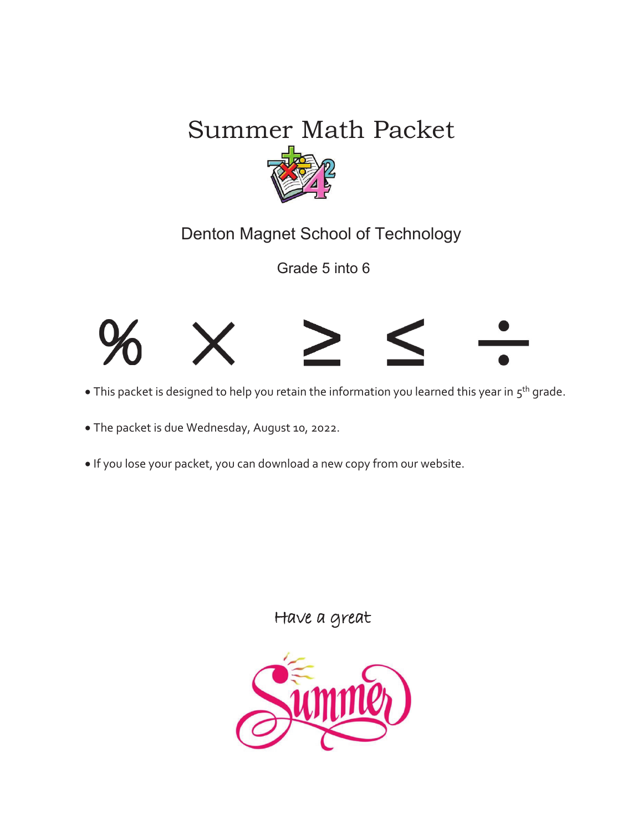## Summer Math Packet



Denton Magnet School of Technology

Grade 5 into 6



- This packet is designed to help you retain the information you learned this year in 5<sup>th</sup> grade.
- The packet is due Wednesday, August 10, 2022.
- If you lose your packet, you can download a new copy from our website.

Have a great

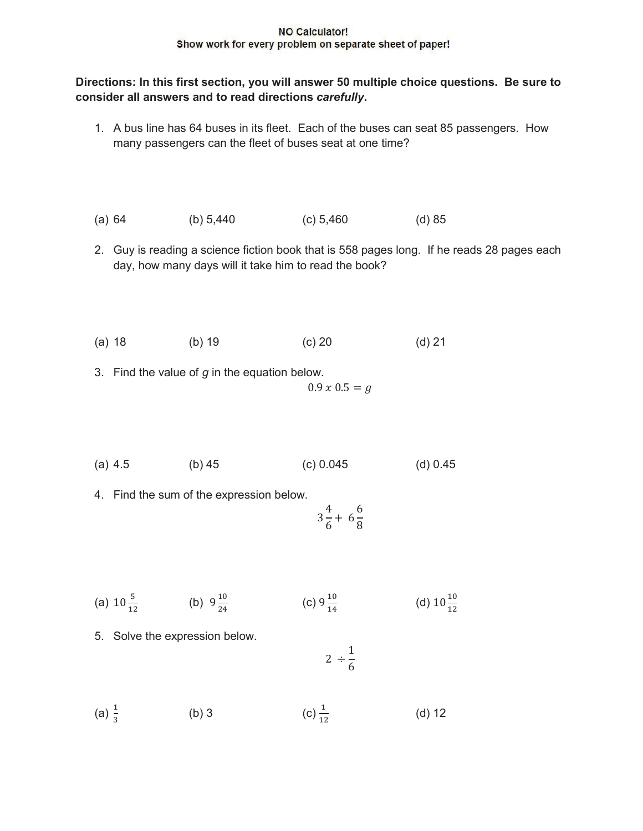## **NO Calculator!** Show work for every problem on separate sheet of paper!

## **Directions: In this first section, you will answer 50 multiple choice questions. Be sure to consider all answers and to read directions** *carefully***.**

- 1. A bus line has 64 buses in its fleet. Each of the buses can seat 85 passengers. How many passengers can the fleet of buses seat at one time?
- (a) 64 (b) 5,440 (c) 5,460 (d) 85
- 2. Guy is reading a science fiction book that is 558 pages long. If he reads 28 pages each day, how many days will it take him to read the book?
- (a) 18 (b) 19 (c) 20 (d) 21
- 3. Find the value of *g* in the equation below.

$$
0.9\,x\,0.5=g
$$

- (a) 4.5 (b) 45 (c) 0.045 (d) 0.45
- 4. Find the sum of the expression below.

$$
3\frac{4}{6} + 6\frac{6}{8}
$$

- (a)  $10\frac{5}{12}$  (b)  $9\frac{10}{24}$  (c)  $9\frac{10}{14}$  (d)  $10\frac{10}{12}$ (d)  $10\frac{10}{12}$
- 5. Solve the expression below.

$$
2\div\frac{1}{6}
$$

(a)  $\frac{1}{3}$  (b) 3 (c)  $\frac{1}{12}$ (c)  $\frac{1}{12}$  (d) 12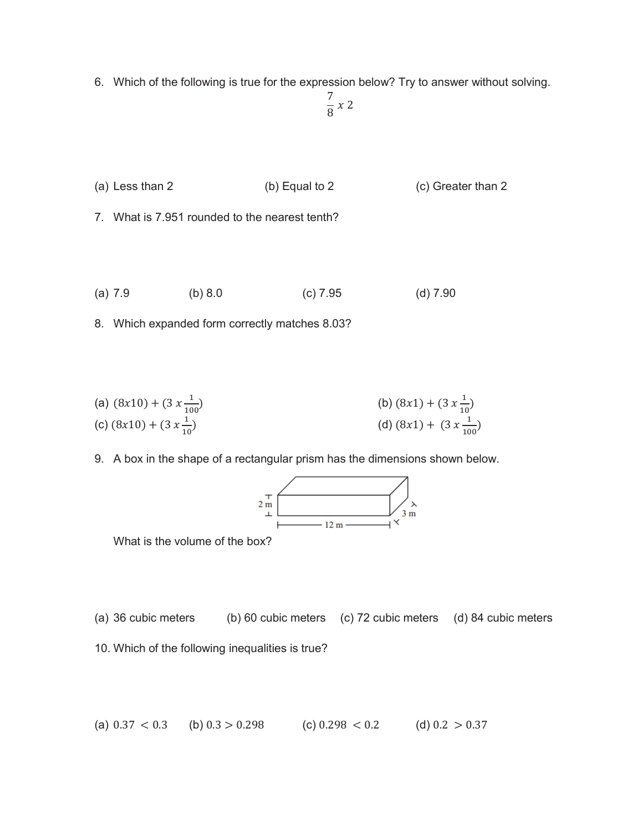6. Which of the following is true for the expression below? Try to answer without solving.

$$
\frac{7}{8} \times 2
$$

(a) Less than 2 (b) Equal to 2 (c) Greater than 2

7. What is 7.951 rounded to the nearest tenth?

(a) 7.9 (b) 8.0 (c) 7.95 (d) 7.90

8. Which expanded form correctly matches 8.03?

(a) 
$$
(8x10) + (3x \frac{1}{100})
$$
  
\n(b)  $(8x1) + (3x \frac{1}{10})$   
\n(c)  $(8x10) + (3x \frac{1}{10})$   
\n(d)  $(8x1) + (3x \frac{1}{100})$ 

9. A box in the shape of a rectangular prism has the dimensions shown below.



What is the volume of the box?

- (a) 36 cubic meters (b) 60 cubic meters (c) 72 cubic meters (d) 84 cubic meters
- 10. Which of the following inequalities is true?

(a) 
$$
0.37 < 0.3
$$
 (b)  $0.3 > 0.298$  (c)  $0.298 < 0.2$  (d)  $0.2 > 0.37$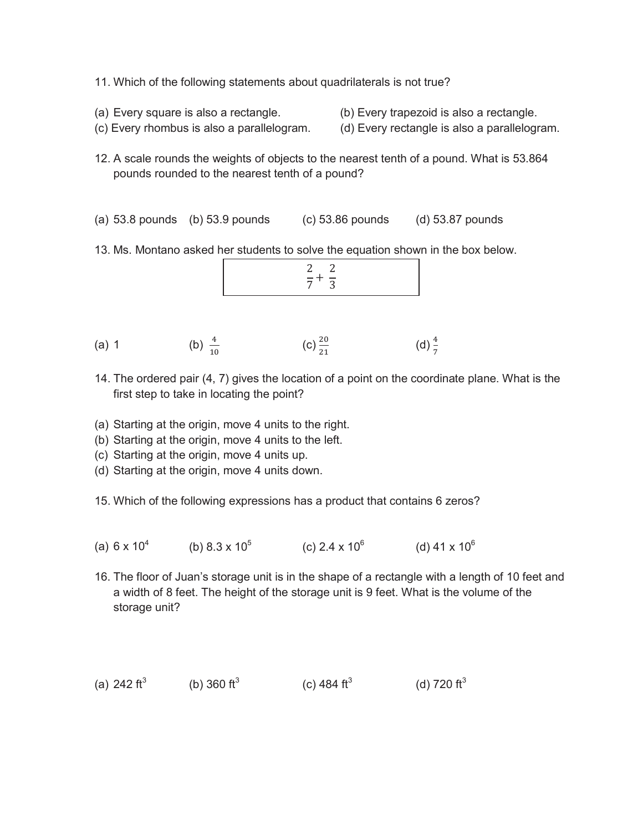- 11. Which of the following statements about quadrilaterals is not true?
- 
- (a) Every square is also a rectangle. (b) Every trapezoid is also a rectangle.
- (c) Every rhombus is also a parallelogram. (d) Every rectangle is also a parallelogram.
- 12. A scale rounds the weights of objects to the nearest tenth of a pound. What is 53.864 pounds rounded to the nearest tenth of a pound?
- (a) 53.8 pounds (b) 53.9 pounds (c) 53.86 pounds (d) 53.87 pounds
- 13. Ms. Montano asked her students to solve the equation shown in the box below.

|--|

- (a) 1 (b)  $\frac{4}{10}$  (c)  $\frac{20}{21}$  (d)  $\frac{4}{7}$
- 14. The ordered pair (4, 7) gives the location of a point on the coordinate plane. What is the first step to take in locating the point?
- (a) Starting at the origin, move 4 units to the right.
- (b) Starting at the origin, move 4 units to the left.
- (c) Starting at the origin, move 4 units up.
- (d) Starting at the origin, move 4 units down.
- 15. Which of the following expressions has a product that contains 6 zeros?
- (a)  $6 \times 10^4$  (b)  $8.3 \times 10^5$  (c)  $2.4 \times 10^6$  (d)  $41 \times 10^6$
- 16. The floor of Juan's storage unit is in the shape of a rectangle with a length of 10 feet and a width of 8 feet. The height of the storage unit is 9 feet. What is the volume of the storage unit?
- (a) 242  $\text{ft}^3$ (b) 360  $\rm ft^3$ (c) 484  $\rm{ft}^{3}$ (d) 720  $\text{ft}^3$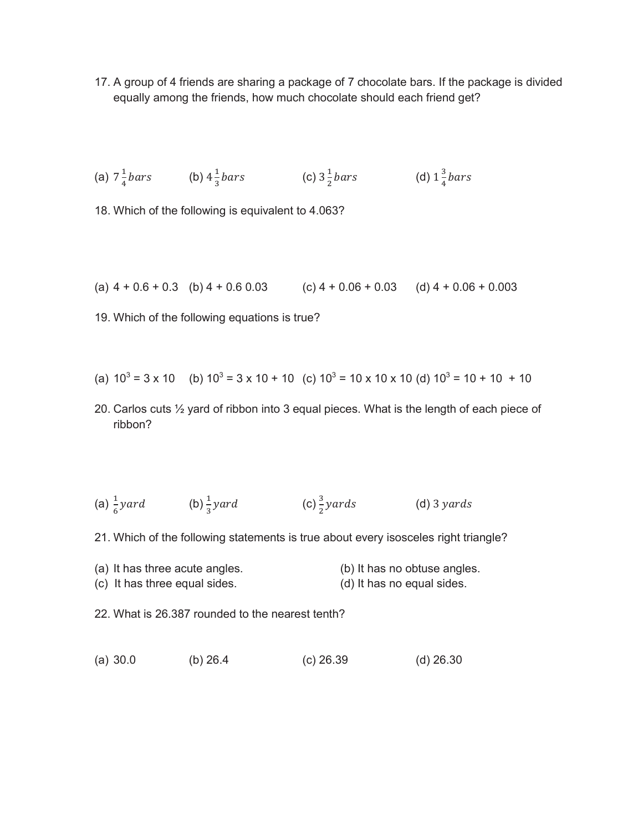17. A group of 4 friends are sharing a package of 7 chocolate bars. If the package is divided equally among the friends, how much chocolate should each friend get?

(a) 
$$
7\frac{1}{4}bars
$$
 (b)  $4\frac{1}{3}bars$  (c)  $3\frac{1}{2}bars$  (d)  $1\frac{3}{4}bars$ 

18. Which of the following is equivalent to 4.063?

(a) 
$$
4 + 0.6 + 0.3
$$
 (b)  $4 + 0.6 \, 0.03$  (c)  $4 + 0.06 + 0.03$  (d)  $4 + 0.06 + 0.003$ 

19. Which of the following equations is true?

(a) 
$$
10^3 = 3 \times 10
$$
 (b)  $10^3 = 3 \times 10 + 10$  (c)  $10^3 = 10 \times 10 \times 10$  (d)  $10^3 = 10 + 10 + 10$ 

20. Carlos cuts ½ yard of ribbon into 3 equal pieces. What is the length of each piece of ribbon?

(a) 
$$
\frac{1}{6}
$$
 yard (b)  $\frac{1}{3}$  yard (c)  $\frac{3}{2}$  yards (d) 3 yards

21. Which of the following statements is true about every isosceles right triangle?

- (a) It has three acute angles. (b) It has no obtuse angles.
- (c) It has three equal sides. (d) It has no equal sides.
- 22. What is 26.387 rounded to the nearest tenth?
- (a) 30.0 (b) 26.4 (c) 26.39 (d) 26.30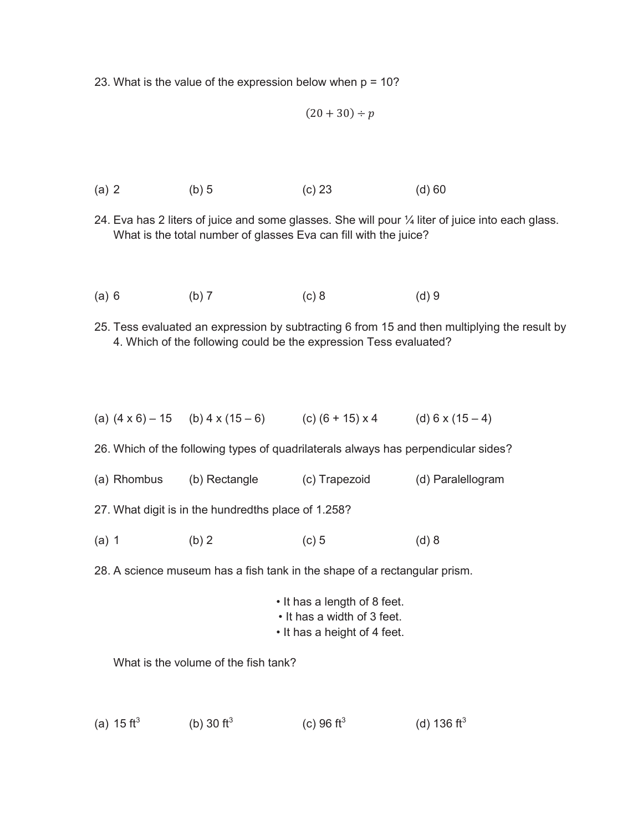23. What is the value of the expression below when  $p = 10$ ?

$$
(20+30) \div p
$$

- (a) 2 (b) 5 (c) 23 (d) 60
- 24. Eva has 2 liters of juice and some glasses. She will pour ¼ liter of juice into each glass. What is the total number of glasses Eva can fill with the juice?
- (a) 6 (b) 7 (c) 8 (d) 9
- 25. Tess evaluated an expression by subtracting 6 from 15 and then multiplying the result by 4. Which of the following could be the expression Tess evaluated?
- (a)  $(4 \times 6) 15$  (b)  $4 \times (15 6)$  (c)  $(6 + 15) \times 4$  (d) 6 x (15 4)

26. Which of the following types of quadrilaterals always has perpendicular sides?

- (a) Rhombus (b) Rectangle (c) Trapezoid (d) Paralellogram
- 27. What digit is in the hundredths place of 1.258?
- (a) 1 (b) 2 (c) 5 (d) 8
- 28. A science museum has a fish tank in the shape of a rectangular prism.

|                             | • It has a length of 8 feet. |  |
|-----------------------------|------------------------------|--|
| • It has a width of 3 feet. |                              |  |
|                             | .                            |  |

• It has a height of 4 feet.

What is the volume of the fish tank?

(a) 15 ft<sup>3</sup> (b) 30 ft<sup>3</sup> (c) 96  $\text{ft}^3$ (d) 136  $\text{ft}^3$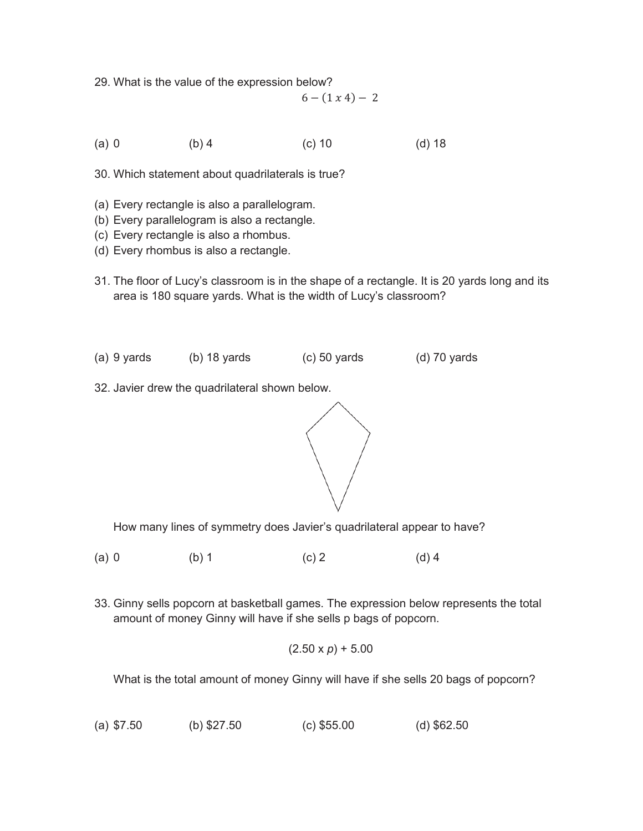29. What is the value of the expression below?

 $6 - (1 x 4) - 2$ 

(a) 0 (b) 4 (c) 10 (d) 18

30. Which statement about quadrilaterals is true?

- (a) Every rectangle is also a parallelogram.
- (b) Every parallelogram is also a rectangle.
- (c) Every rectangle is also a rhombus.
- (d) Every rhombus is also a rectangle.
- 31. The floor of Lucy's classroom is in the shape of a rectangle. It is 20 yards long and its area is 180 square yards. What is the width of Lucy's classroom?
- (a) 9 yards (b) 18 yards (c) 50 yards (d) 70 yards
- 32. Javier drew the quadrilateral shown below.



How many lines of symmetry does Javier's quadrilateral appear to have?

- (a) 0 (b) 1 (c) 2 (d) 4
- 33. Ginny sells popcorn at basketball games. The expression below represents the total amount of money Ginny will have if she sells p bags of popcorn.

$$
(2.50 \times p) + 5.00
$$

What is the total amount of money Ginny will have if she sells 20 bags of popcorn?

(a) \$7.50 (b) \$27.50 (c) \$55.00 (d) \$62.50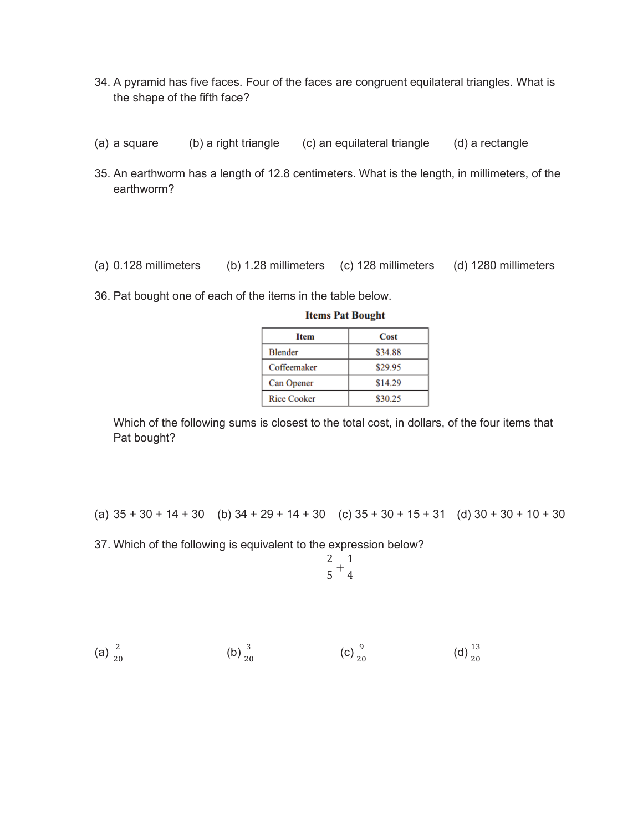- 34. A pyramid has five faces. Four of the faces are congruent equilateral triangles. What is the shape of the fifth face?
- (a) a square (b) a right triangle (c) an equilateral triangle (d) a rectangle
- 35. An earthworm has a length of 12.8 centimeters. What is the length, in millimeters, of the earthworm?
- (a) 0.128 millimeters (b) 1.28 millimeters (c) 128 millimeters (d) 1280 millimeters
- 36. Pat bought one of each of the items in the table below.

| <b>Item</b>        | Cost    |
|--------------------|---------|
| <b>Blender</b>     | \$34.88 |
| Coffeemaker        | \$29.95 |
| <b>Can Opener</b>  | \$14.29 |
| <b>Rice Cooker</b> | \$30.25 |

**Items Pat Bought** 

Which of the following sums is closest to the total cost, in dollars, of the four items that Pat bought?

(a)  $35 + 30 + 14 + 30$  (b)  $34 + 29 + 14 + 30$  (c)  $35 + 30 + 15 + 31$  (d)  $30 + 30 + 10 + 30$ 

37. Which of the following is equivalent to the expression below?

$$
\frac{2}{5} + \frac{1}{4}
$$

(a) 
$$
\frac{2}{20}
$$
 \t\t (b)  $\frac{3}{20}$  \t\t (c)  $\frac{9}{20}$  \t\t (d)  $\frac{13}{20}$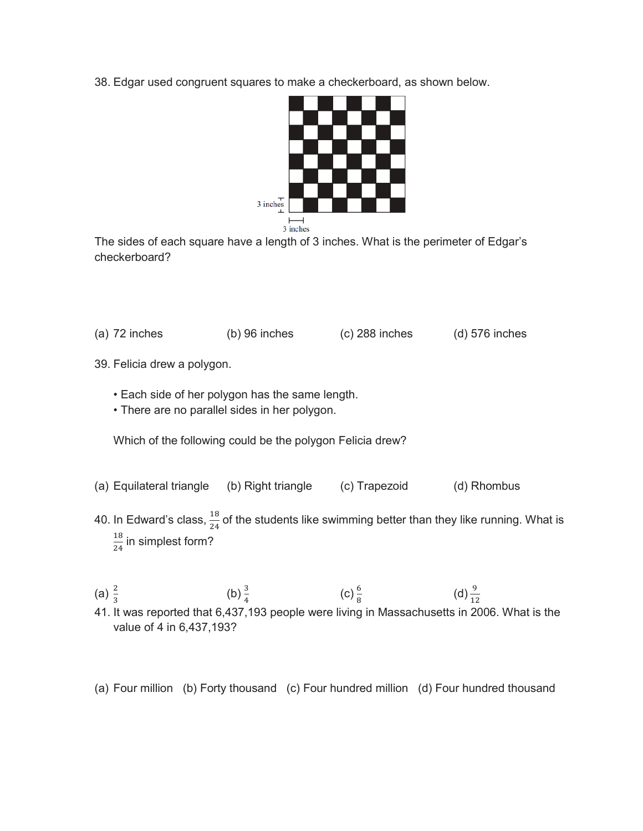38. Edgar used congruent squares to make a checkerboard, as shown below.



The sides of each square have a length of 3 inches. What is the perimeter of Edgar's checkerboard?

- (a) 72 inches (b) 96 inches (c) 288 inches (d) 576 inches
- 39. Felicia drew a polygon.
	- Each side of her polygon has the same length.
	- There are no parallel sides in her polygon.

Which of the following could be the polygon Felicia drew?

- (a) Equilateral triangle (b) Right triangle (c) Trapezoid (d) Rhombus
- 40. In Edward's class,  $\frac{18}{24}$  of the students like swimming better than they like running. What is  $\frac{18}{24}$  in simplest form?
- (a)  $\frac{2}{3}$ (b)  $\frac{3}{4}$  $(c)$   $\frac{6}{8}$  $(d) \frac{9}{12}$
- 41. It was reported that 6,437,193 people were living in Massachusetts in 2006. What is the value of 4 in 6,437,193?
- (a) Four million (b) Forty thousand (c) Four hundred million (d) Four hundred thousand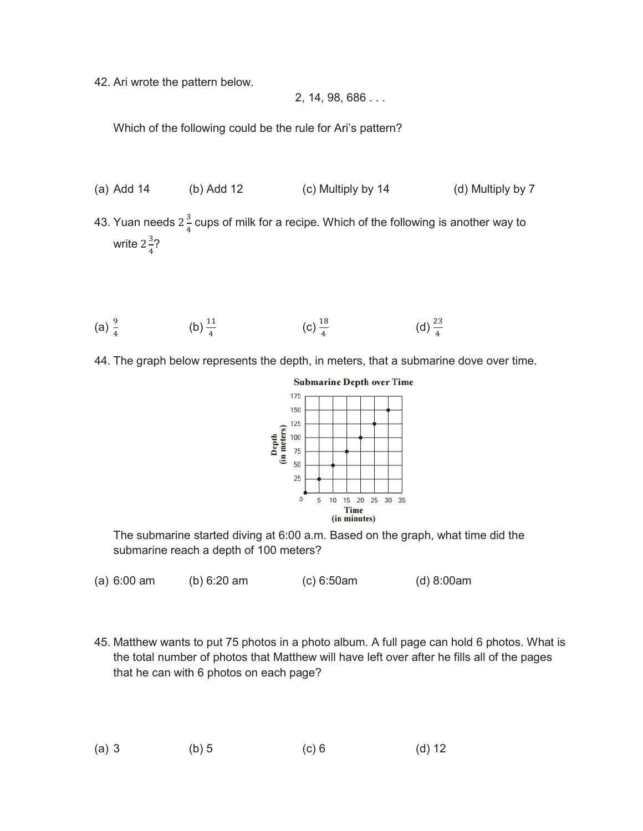42. Ari wrote the pattern below.

2, 14, 98, 686 . . .

Which of the following could be the rule for Ari's pattern?

- (a) Add 14 (b) Add 12 (c) Multiply by 14 (d) Multiply by 7
- 43. Yuan needs 2 $\frac{3}{4}$  cups of milk for a recipe. Which of the following is another way to write  $2\frac{3}{4}$ ?
- (a)  $\frac{9}{4}$  (b)  $\frac{11}{4}$  (c)  $\frac{18}{4}$  (d)  $\frac{23}{4}$ (d)  $\frac{23}{4}$
- 44. The graph below represents the depth, in meters, that a submarine dove over time.



The submarine started diving at 6:00 a.m. Based on the graph, what time did the submarine reach a depth of 100 meters?

- (a) 6:00 am (b) 6:20 am (c) 6:50am (d) 8:00am
- 45. Matthew wants to put 75 photos in a photo album. A full page can hold 6 photos. What is the total number of photos that Matthew will have left over after he fills all of the pages that he can with 6 photos on each page?

(a) 3 (b) 5 (c) 6 (d) 12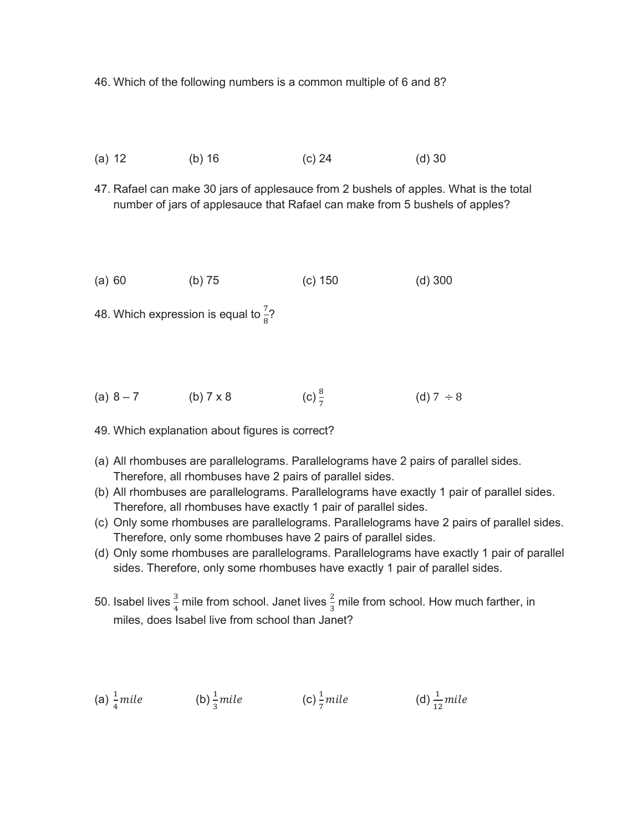46. Which of the following numbers is a common multiple of 6 and 8?

- (a) 12 (b) 16 (c) 24 (d) 30
- 47. Rafael can make 30 jars of applesauce from 2 bushels of apples. What is the total number of jars of applesauce that Rafael can make from 5 bushels of apples?
- (a) 60 (b) 75 (c) 150 (d) 300
- 48. Which expression is equal to  $\frac{7}{8}$ ?
- (a) 8 7 (b) 7 x 8 (c)  $\frac{8}{7}$ (d)  $7 \div 8$
- 49. Which explanation about figures is correct?
- (a) All rhombuses are parallelograms. Parallelograms have 2 pairs of parallel sides. Therefore, all rhombuses have 2 pairs of parallel sides.
- (b) All rhombuses are parallelograms. Parallelograms have exactly 1 pair of parallel sides. Therefore, all rhombuses have exactly 1 pair of parallel sides.
- (c) Only some rhombuses are parallelograms. Parallelograms have 2 pairs of parallel sides. Therefore, only some rhombuses have 2 pairs of parallel sides.
- (d) Only some rhombuses are parallelograms. Parallelograms have exactly 1 pair of parallel sides. Therefore, only some rhombuses have exactly 1 pair of parallel sides.
- 50. Isabel lives  $\frac{3}{4}$  mile from school. Janet lives  $\frac{2}{3}$  mile from school. How much farther, in miles, does Isabel live from school than Janet?

(a) 
$$
\frac{1}{4}
$$
 mile (b)  $\frac{1}{3}$  mile (c)  $\frac{1}{7}$  mile (d)  $\frac{1}{12}$  mile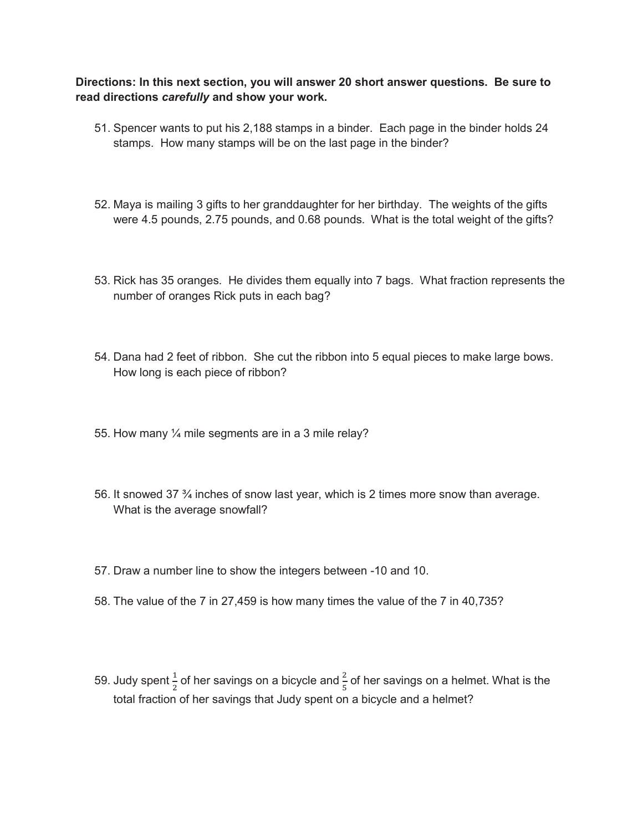## **Directions: In this next section, you will answer 20 short answer questions. Be sure to read directions** *carefully* **and show your work.**

- 51. Spencer wants to put his 2,188 stamps in a binder. Each page in the binder holds 24 stamps. How many stamps will be on the last page in the binder?
- 52. Maya is mailing 3 gifts to her granddaughter for her birthday. The weights of the gifts were 4.5 pounds, 2.75 pounds, and 0.68 pounds. What is the total weight of the gifts?
- 53. Rick has 35 oranges. He divides them equally into 7 bags. What fraction represents the number of oranges Rick puts in each bag?
- 54. Dana had 2 feet of ribbon. She cut the ribbon into 5 equal pieces to make large bows. How long is each piece of ribbon?
- 55. How many ¼ mile segments are in a 3 mile relay?
- 56. It snowed 37 ¾ inches of snow last year, which is 2 times more snow than average. What is the average snowfall?
- 57. Draw a number line to show the integers between -10 and 10.
- 58. The value of the 7 in 27,459 is how many times the value of the 7 in 40,735?
- 59. Judy spent  $\frac{1}{2}$  of her savings on a bicycle and  $\frac{2}{5}$  of her savings on a helmet. What is the total fraction of her savings that Judy spent on a bicycle and a helmet?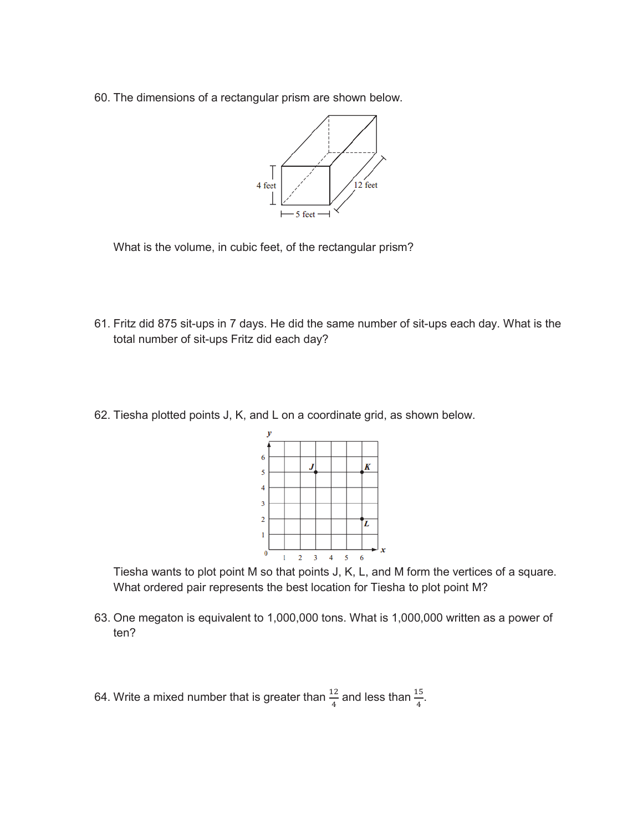60. The dimensions of a rectangular prism are shown below.



What is the volume, in cubic feet, of the rectangular prism?

- 61. Fritz did 875 sit-ups in 7 days. He did the same number of sit-ups each day. What is the total number of sit-ups Fritz did each day?
- 62. Tiesha plotted points J, K, and L on a coordinate grid, as shown below.



Tiesha wants to plot point M so that points J, K, L, and M form the vertices of a square. What ordered pair represents the best location for Tiesha to plot point M?

- 63. One megaton is equivalent to 1,000,000 tons. What is 1,000,000 written as a power of ten?
- 64. Write a mixed number that is greater than  $\frac{12}{4}$  and less than  $\frac{15}{4}$ .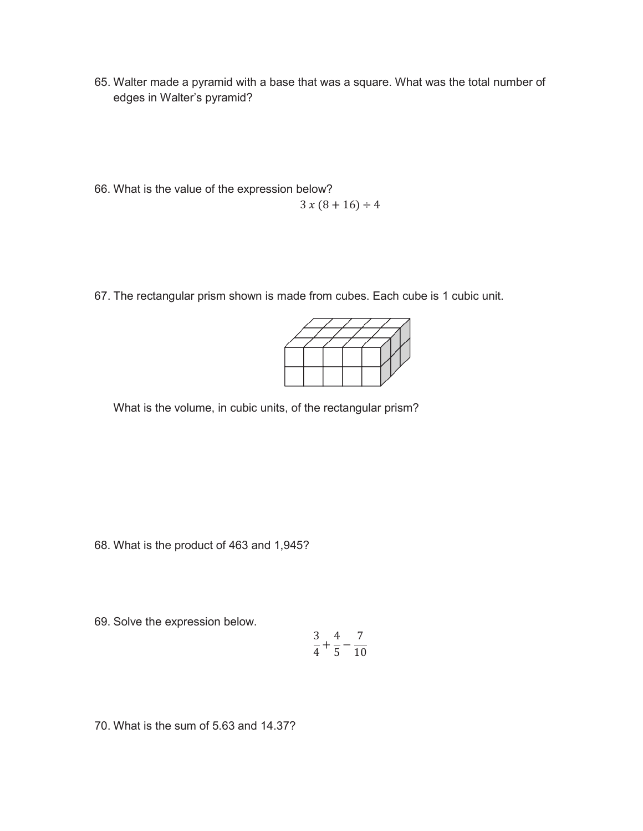- 65. Walter made a pyramid with a base that was a square. What was the total number of edges in Walter's pyramid?
- 66. What is the value of the expression below?  $3x(8+16) \div 4$
- 67. The rectangular prism shown is made from cubes. Each cube is 1 cubic unit.



What is the volume, in cubic units, of the rectangular prism?

68. What is the product of 463 and 1,945?

69. Solve the expression below.

$$
\frac{3}{4} + \frac{4}{5} - \frac{7}{10}
$$

70. What is the sum of 5.63 and 14.37?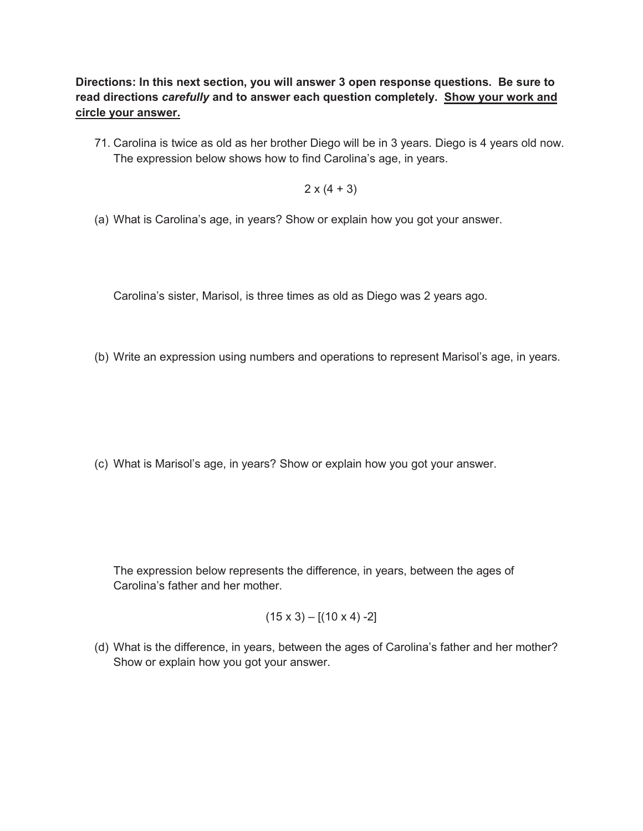**Directions: In this next section, you will answer 3 open response questions. Be sure to read directions** *carefully* **and to answer each question completely. Show your work and circle your answer.**

71. Carolina is twice as old as her brother Diego will be in 3 years. Diego is 4 years old now. The expression below shows how to find Carolina's age, in years.

 $2 \times (4 + 3)$ 

(a) What is Carolina's age, in years? Show or explain how you got your answer.

Carolina's sister, Marisol, is three times as old as Diego was 2 years ago.

(b) Write an expression using numbers and operations to represent Marisol's age, in years.

(c) What is Marisol's age, in years? Show or explain how you got your answer.

The expression below represents the difference, in years, between the ages of Carolina's father and her mother.

$$
(15 \times 3) - [(10 \times 4) - 2]
$$

(d) What is the difference, in years, between the ages of Carolina's father and her mother? Show or explain how you got your answer.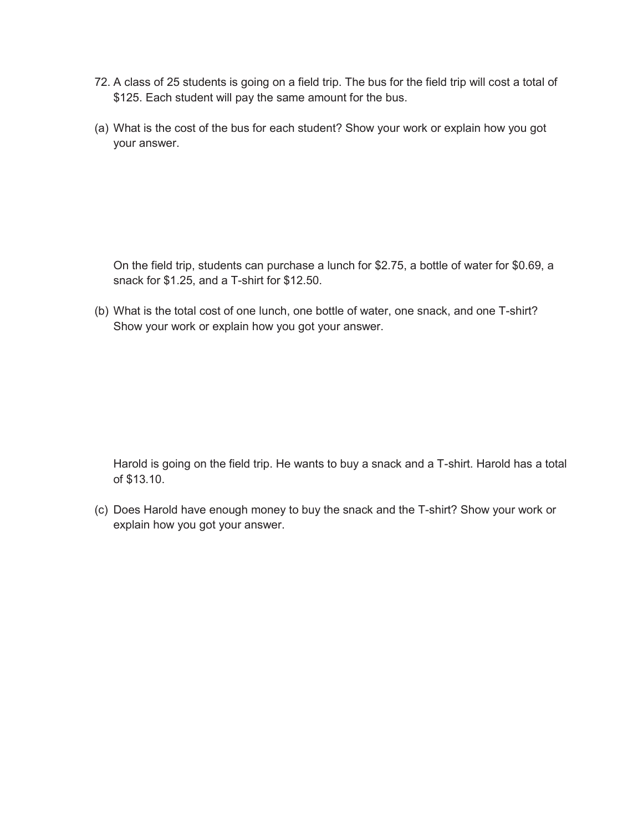- 72. A class of 25 students is going on a field trip. The bus for the field trip will cost a total of \$125. Each student will pay the same amount for the bus.
- (a) What is the cost of the bus for each student? Show your work or explain how you got your answer.

On the field trip, students can purchase a lunch for \$2.75, a bottle of water for \$0.69, a snack for \$1.25, and a T-shirt for \$12.50.

(b) What is the total cost of one lunch, one bottle of water, one snack, and one T-shirt? Show your work or explain how you got your answer.

Harold is going on the field trip. He wants to buy a snack and a T-shirt. Harold has a total of \$13.10.

(c) Does Harold have enough money to buy the snack and the T-shirt? Show your work or explain how you got your answer.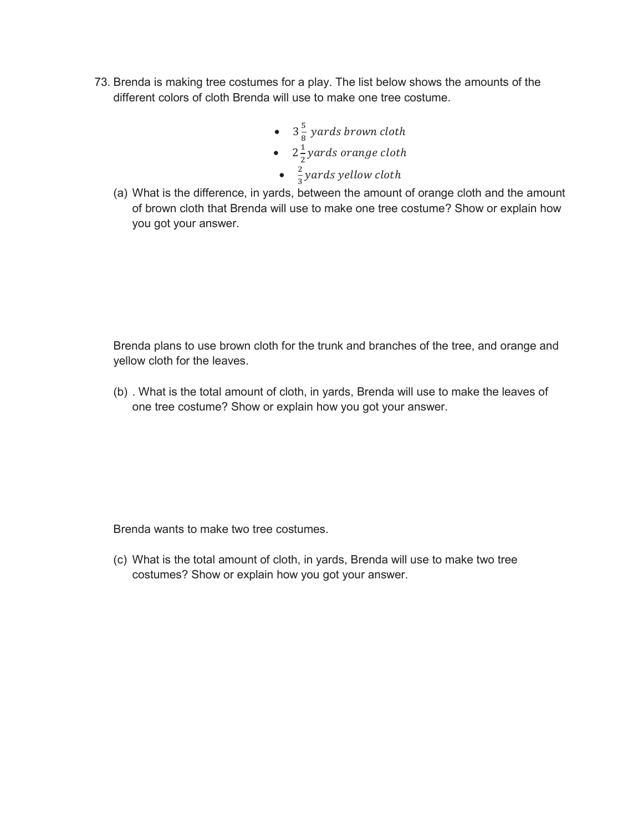- 73. Brenda is making tree costumes for a play. The list below shows the amounts of the different colors of cloth Brenda will use to make one tree costume.
	- $3\frac{5}{8}$  yards brown cloth
	- $2\frac{1}{2}$  yards orange cloth
	- $\frac{2}{3}$  yards yellow cloth
	- (a) What is the difference, in yards, between the amount of orange cloth and the amount of brown cloth that Brenda will use to make one tree costume? Show or explain how you got your answer.

Brenda plans to use brown cloth for the trunk and branches of the tree, and orange and yellow cloth for the leaves.

(b) . What is the total amount of cloth, in yards, Brenda will use to make the leaves of one tree costume? Show or explain how you got your answer.

Brenda wants to make two tree costumes.

(c) What is the total amount of cloth, in yards, Brenda will use to make two tree costumes? Show or explain how you got your answer.